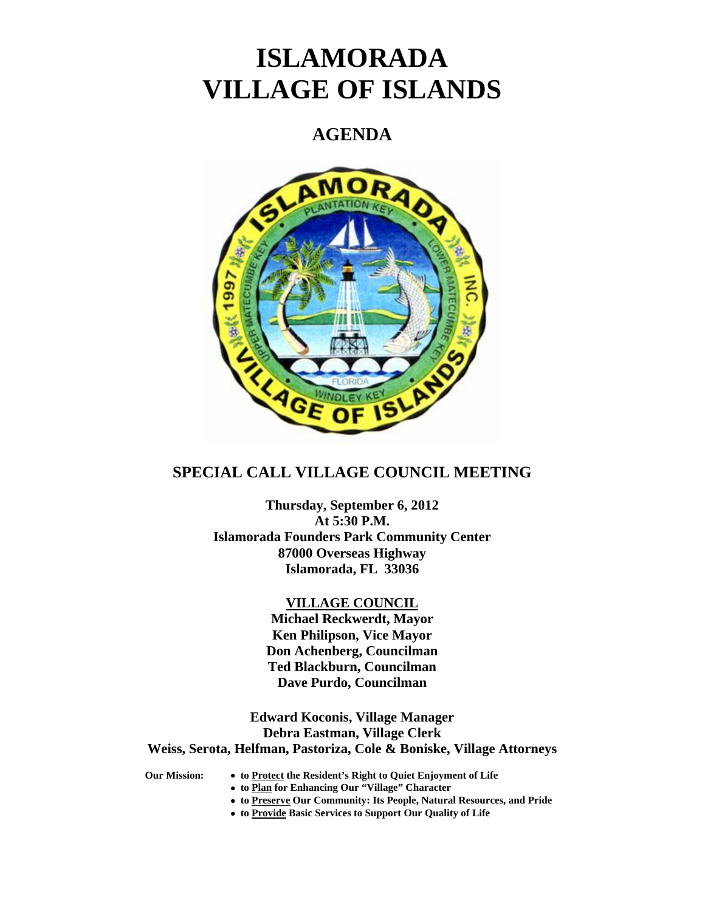# **ISLAMORADA VILLAGE OF ISLANDS**

## **AGENDA**



## **SPECIAL CALL VILLAGE COUNCIL MEETING**

**Thursday, September 6, 2012 At 5:30 P.M. Islamorada Founders Park Community Center 87000 Overseas Highway Islamorada, FL 33036** 

#### **VILLAGE COUNCIL**

**Michael Reckwerdt, Mayor Ken Philipson, Vice Mayor Don Achenberg, Councilman Ted Blackburn, Councilman Dave Purdo, Councilman** 

**Edward Koconis, Village Manager Debra Eastman, Village Clerk Weiss, Serota, Helfman, Pastoriza, Cole & Boniske, Village Attorneys** 

- **Our Mission:** • **to Protect the Resident's Right to Quiet Enjoyment of Life** 
	- • **to Plan for Enhancing Our "Village" Character**
	- • **to Preserve Our Community: Its People, Natural Resources, and Pride**
	- • **to Provide Basic Services to Support Our Quality of Life**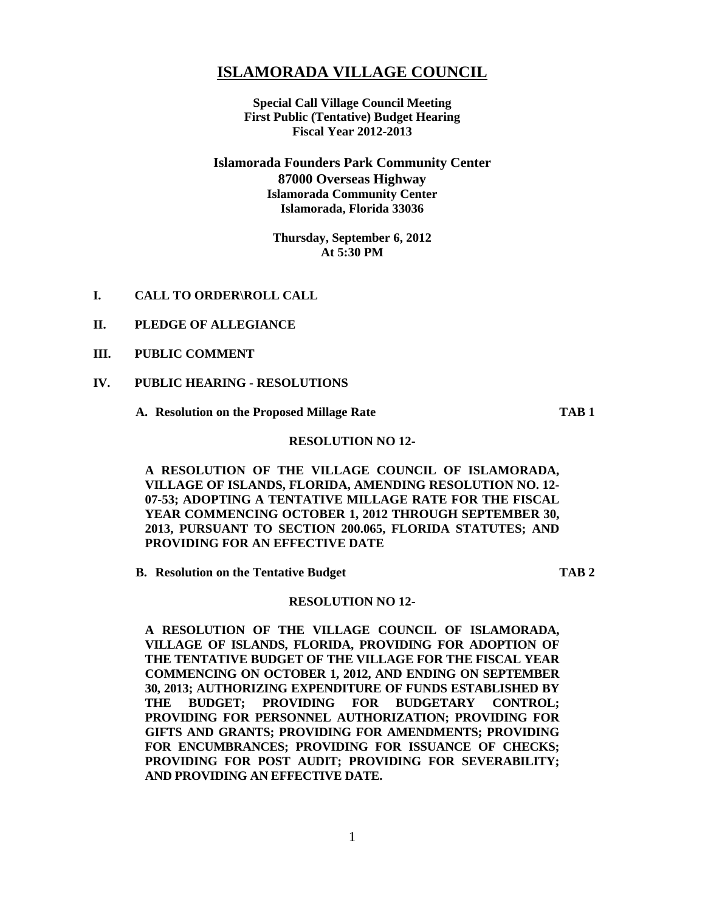### **ISLAMORADA VILLAGE COUNCIL**

**Special Call Village Council Meeting First Public (Tentative) Budget Hearing Fiscal Year 2012-2013** 

#### **Islamorada Founders Park Community Center 87000 Overseas Highway Islamorada Community Center Islamorada, Florida 33036**

#### **Thursday, September 6, 2012 At 5:30 PM**

- **I. CALL TO ORDER\ROLL CALL**
- **II. PLEDGE OF ALLEGIANCE**
- **III. PUBLIC COMMENT**
- **IV. PUBLIC HEARING RESOLUTIONS** 
	- **A. Resolution on the Proposed Millage Rate TAB 1**

#### **RESOLUTION NO 12-**

**A RESOLUTION OF THE VILLAGE COUNCIL OF ISLAMORADA, VILLAGE OF ISLANDS, FLORIDA, AMENDING RESOLUTION NO. 12- 07-53; ADOPTING A TENTATIVE MILLAGE RATE FOR THE FISCAL YEAR COMMENCING OCTOBER 1, 2012 THROUGH SEPTEMBER 30, 2013, PURSUANT TO SECTION 200.065, FLORIDA STATUTES; AND PROVIDING FOR AN EFFECTIVE DATE** 

**B.** Resolution on the Tentative Budget TAB 2

#### **RESOLUTION NO 12-**

**A RESOLUTION OF THE VILLAGE COUNCIL OF ISLAMORADA, VILLAGE OF ISLANDS, FLORIDA, PROVIDING FOR ADOPTION OF THE TENTATIVE BUDGET OF THE VILLAGE FOR THE FISCAL YEAR COMMENCING ON OCTOBER 1, 2012, AND ENDING ON SEPTEMBER 30, 2013; AUTHORIZING EXPENDITURE OF FUNDS ESTABLISHED BY THE BUDGET; PROVIDING FOR BUDGETARY CONTROL; PROVIDING FOR PERSONNEL AUTHORIZATION; PROVIDING FOR GIFTS AND GRANTS; PROVIDING FOR AMENDMENTS; PROVIDING**  FOR ENCUMBRANCES; PROVIDING FOR ISSUANCE OF CHECKS; **PROVIDING FOR POST AUDIT; PROVIDING FOR SEVERABILITY; AND PROVIDING AN EFFECTIVE DATE.**